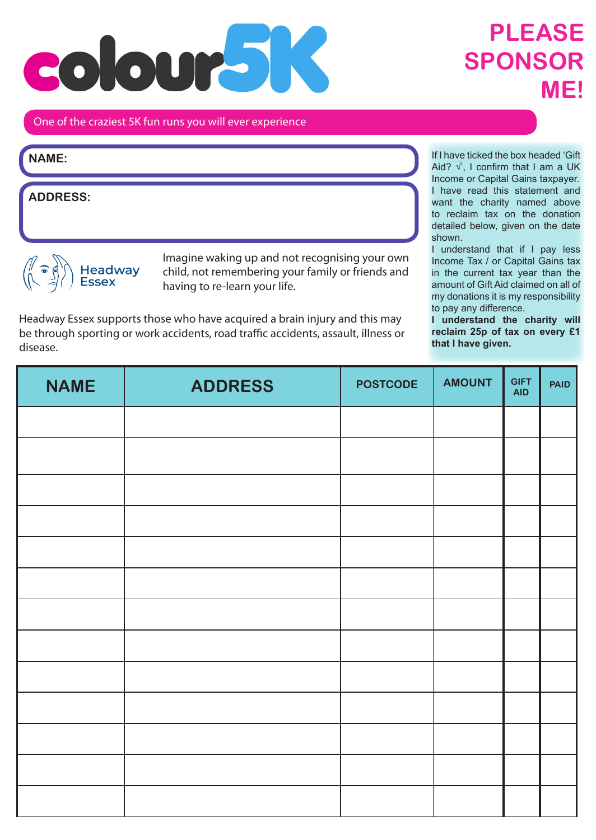## coloura **TEX**

## **PLEASE SPONSOR ME!**

## One of the craziest 5K fun runs you will ever experience

| NAME:    |  |  |  |
|----------|--|--|--|
| ADDRESS: |  |  |  |

 $\mathbb{R}$ Headway<br>Essex

Imagine waking up and not recognising your own child, not remembering your family or friends and having to re-learn your life.

Headway Essex supports those who have acquired a brain injury and this may be through sporting or work accidents, road traffic accidents, assault, illness or disease.

If I have ticked the box headed 'Gift Aid?  $\sqrt{ }$ , I confirm that I am a UK Income or Capital Gains taxpayer. I have read this statement and want the charity named above to reclaim tax on the donation detailed below, given on the date shown.

I understand that if I pay less Income Tax / or Capital Gains tax in the current tax year than the amount of Gift Aid claimed on all of my donations it is my responsibility to pay any difference.

**I understand the charity will reclaim 25p of tax on every £1 that I have given.**

| <b>NAME</b> | <b>ADDRESS</b> | <b>POSTCODE</b> | <b>AMOUNT</b> | <b>GIFT</b><br><b>AID</b> | <b>PAID</b> |
|-------------|----------------|-----------------|---------------|---------------------------|-------------|
|             |                |                 |               |                           |             |
|             |                |                 |               |                           |             |
|             |                |                 |               |                           |             |
|             |                |                 |               |                           |             |
|             |                |                 |               |                           |             |
|             |                |                 |               |                           |             |
|             |                |                 |               |                           |             |
|             |                |                 |               |                           |             |
|             |                |                 |               |                           |             |
|             |                |                 |               |                           |             |
|             |                |                 |               |                           |             |
|             |                |                 |               |                           |             |
|             |                |                 |               |                           |             |